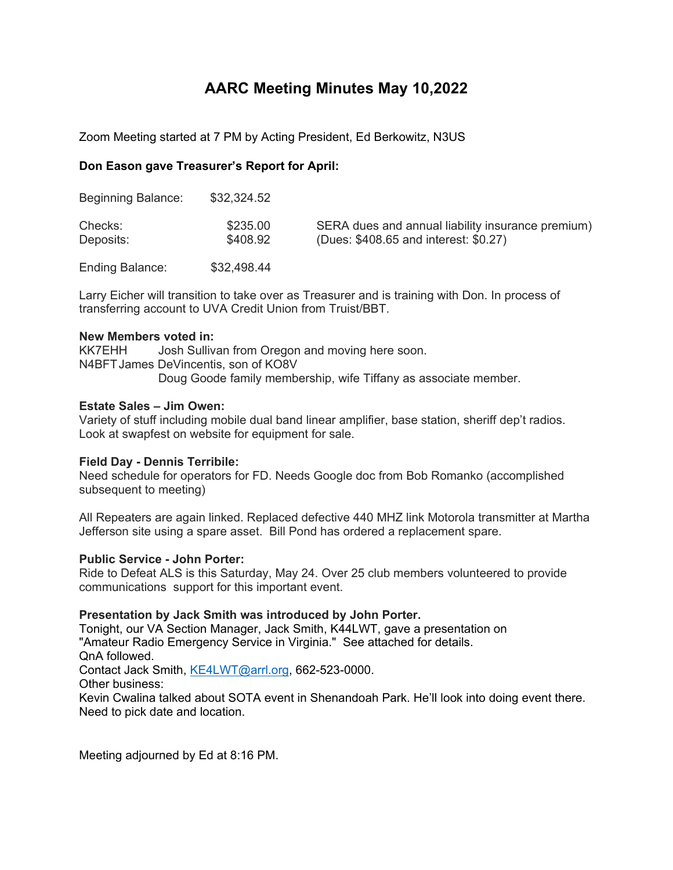### **AARC Meeting Minutes May 10,2022**

Zoom Meeting started at 7 PM by Acting President, Ed Berkowitz, N3US

### **Don Eason gave Treasurer's Report for April:**

| <b>Beginning Balance:</b> | \$32,324.52          |                                                                                            |
|---------------------------|----------------------|--------------------------------------------------------------------------------------------|
| Checks:<br>Deposits:      | \$235.00<br>\$408.92 | SERA dues and annual liability insurance premium)<br>(Dues: \$408.65 and interest: \$0.27) |
| <b>Ending Balance:</b>    | \$32,498.44          |                                                                                            |

Larry Eicher will transition to take over as Treasurer and is training with Don. In process of transferring account to UVA Credit Union from Truist/BBT.

### **New Members voted in:**

KK7EHH Josh Sullivan from Oregon and moving here soon. N4BFTJames DeVincentis, son of KO8V Doug Goode family membership, wife Tiffany as associate member.

### **Estate Sales – Jim Owen:**

Variety of stuff including mobile dual band linear amplifier, base station, sheriff dep't radios. Look at swapfest on website for equipment for sale.

### **Field Day - Dennis Terribile:**

Need schedule for operators for FD. Needs Google doc from Bob Romanko (accomplished subsequent to meeting)

All Repeaters are again linked. Replaced defective 440 MHZ link Motorola transmitter at Martha Jefferson site using a spare asset. Bill Pond has ordered a replacement spare.

### **Public Service - John Porter:**

Ride to Defeat ALS is this Saturday, May 24. Over 25 club members volunteered to provide communications support for this important event.

### **Presentation by Jack Smith was introduced by John Porter.**

Tonight, our VA Section Manager, Jack Smith, K44LWT, gave a presentation on "Amateur Radio Emergency Service in Virginia." See attached for details. QnA followed. Contact Jack Smith, KE4LWT@arrl.org, 662-523-0000. Other business: Kevin Cwalina talked about SOTA event in Shenandoah Park. He'll look into doing event there. Need to pick date and location.

Meeting adjourned by Ed at 8:16 PM.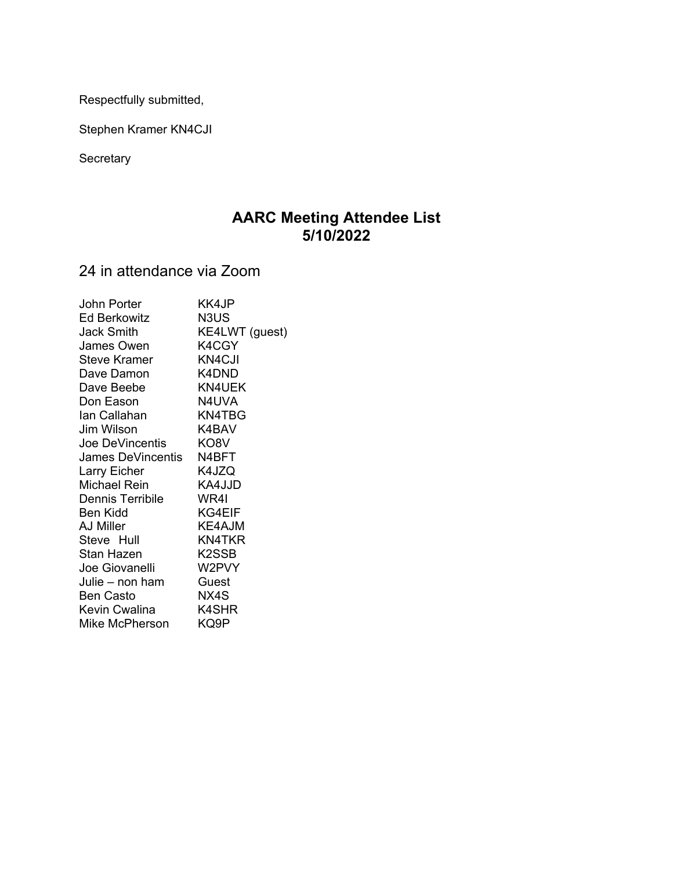Respectfully submitted,

Stephen Kramer KN4CJI

**Secretary** 

### **AARC Meeting Attendee List 5/10/2022**

24 in attendance via Zoom

| John Porter       | KK4JP              |
|-------------------|--------------------|
| Ed Berkowitz      | N3US               |
| Jack Smith        | KE4LWT (guest)     |
| James Owen        | K4CGY              |
| Steve Kramer      | KN4CJI             |
| Dave Damon        | K4DND              |
| Dave Beebe        | <b>KN4UEK</b>      |
| Don Eason         | N4UVA              |
| lan Callahan      | <b>KN4TBG</b>      |
| Jim Wilson        | K4BAV              |
| Joe DeVincentis   | KO8V               |
| James DeVincentis | N4BFT              |
| Larry Eicher      | K4JZQ              |
| Michael Rein      | KA4JJD             |
| Dennis Terribile  | WR4I               |
| Ben Kidd          | KG4EIF             |
| AJ Miller         | KE4AJM             |
| Steve Hull        | KN4TKR             |
| Stan Hazen        | K <sub>2</sub> SSB |
| Joe Giovanelli    | W2PVY              |
| Julie – non ham   | Guest              |
| <b>Ben Casto</b>  | NX4S               |
| Kevin Cwalina     | K4SHR              |
| Mike McPherson    | KQ9P               |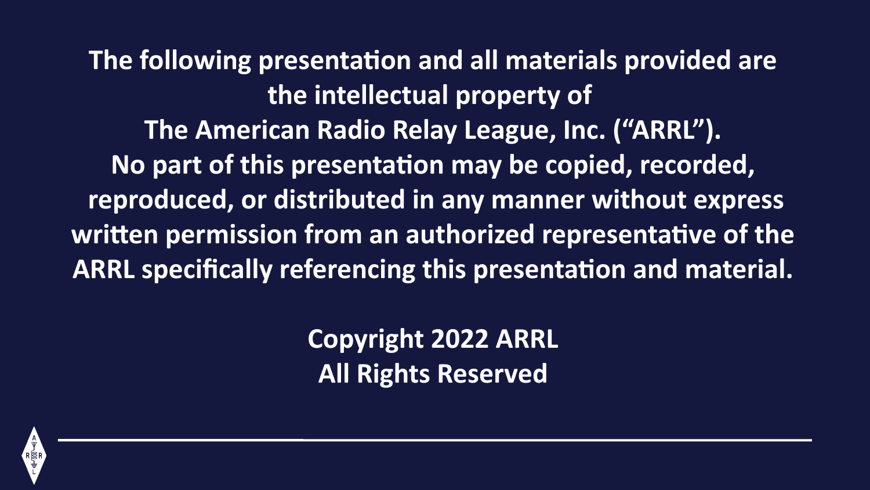**The following presentation and all materials provided are the intellectual property of The American Radio Relay League, Inc. ("ARRL"). No part of this presentation may be copied, recorded, reproduced, or distributed in any manner without express written permission from an authorized representative of the ARRL specifically referencing this presentation and material.**

> **Copyright 2022 ARRL All Rights Reserved**

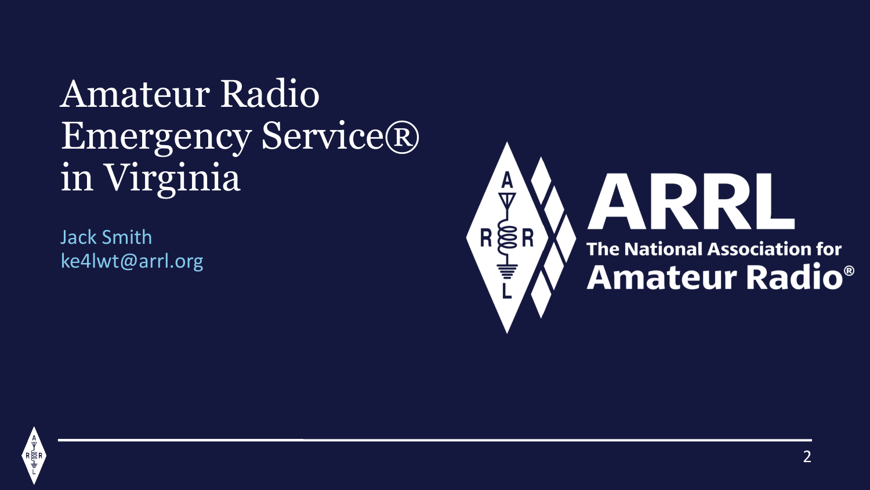Amateur Radio Emergency Service® in Virginia

Jack Smith ke4lwt@arrl.org



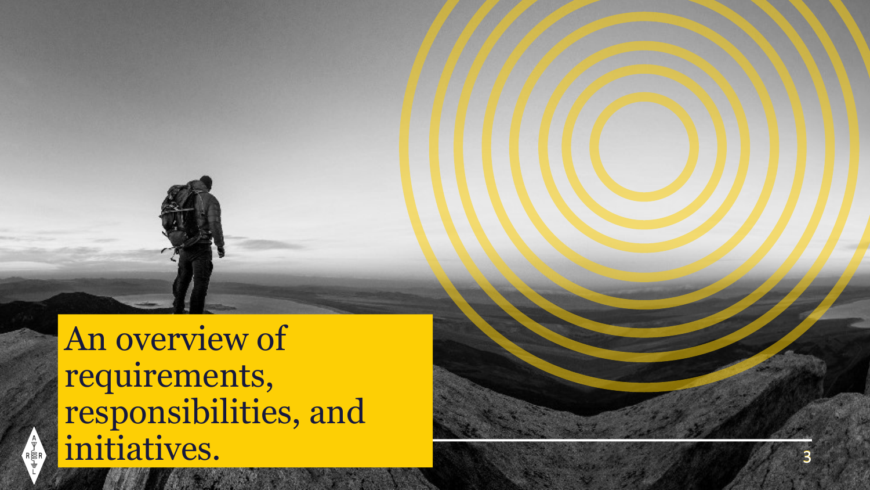An overview of requirements, responsibilities, and initiatives.

 $R \bigotimes_{R}^{A} R$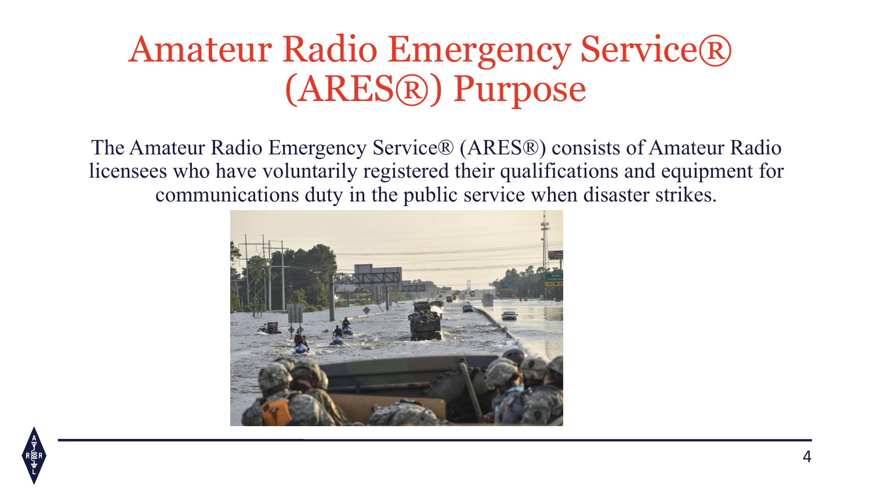### Amateur Radio Emergency Service® (ARES®) Purpose

The Amateur Radio Emergency Service® (ARES®) consists of Amateur Radio licensees who have voluntarily registered their qualifications and equipment for communications duty in the public service when disaster strikes.



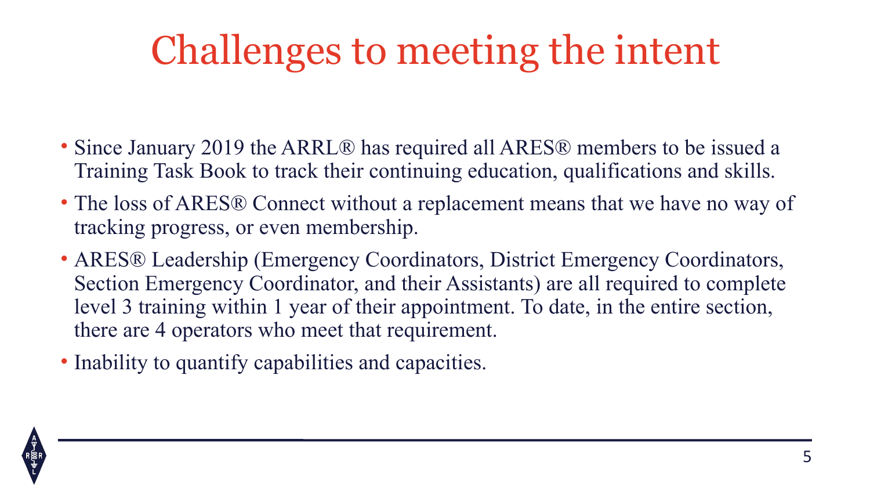# Challenges to meeting the intent

- Since January 2019 the ARRL® has required all ARES® members to be issued a Training Task Book to track their continuing education, qualifications and skills.
- The loss of ARES® Connect without a replacement means that we have no way of tracking progress, or even membership.
- ARES® Leadership (Emergency Coordinators, District Emergency Coordinators, Section Emergency Coordinator, and their Assistants) are all required to complete level 3 training within 1 year of their appointment. To date, in the entire section, there are 4 operators who meet that requirement.
- Inability to quantify capabilities and capacities.

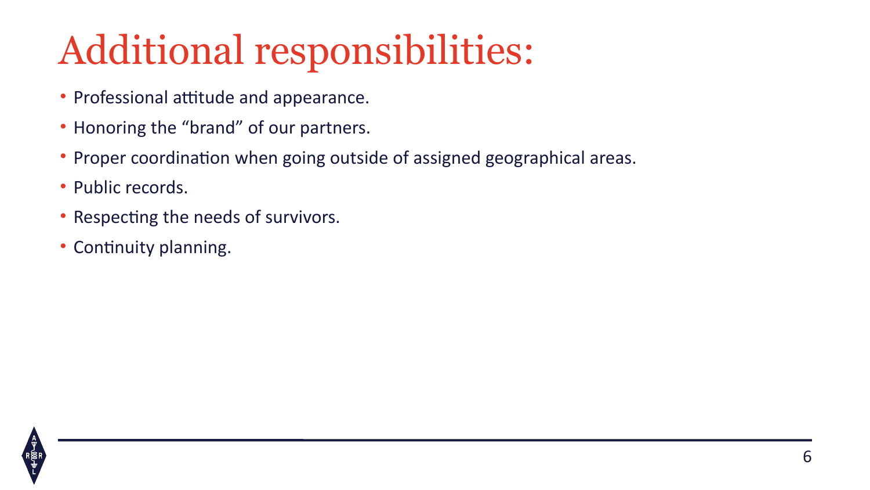# Additional responsibilities:

- Professional attitude and appearance.
- Honoring the "brand" of our partners.
- Proper coordination when going outside of assigned geographical areas.
- Public records.
- Respecting the needs of survivors.
- Continuity planning.

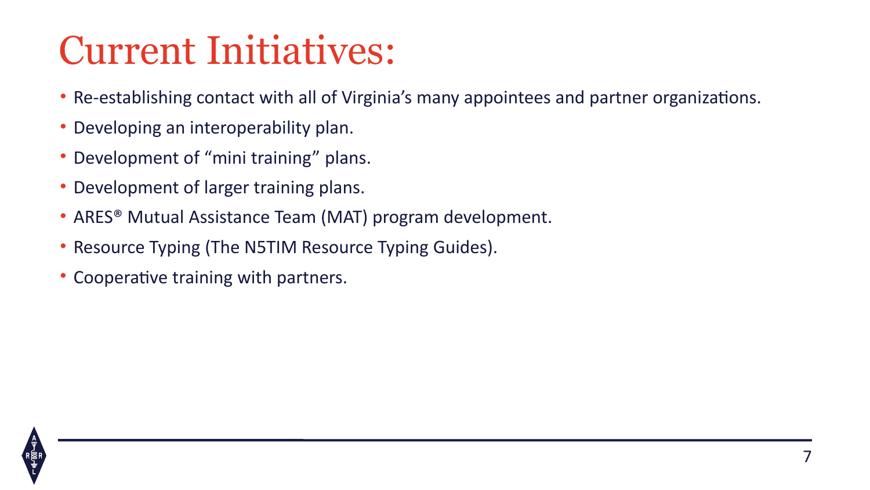# Current Initiatives:

- Re-establishing contact with all of Virginia's many appointees and partner organizations.
- Developing an interoperability plan.
- Development of "mini training" plans.
- Development of larger training plans.
- ARES® Mutual Assistance Team (MAT) program development.
- Resource Typing (The N5TIM Resource Typing Guides).
- Cooperative training with partners.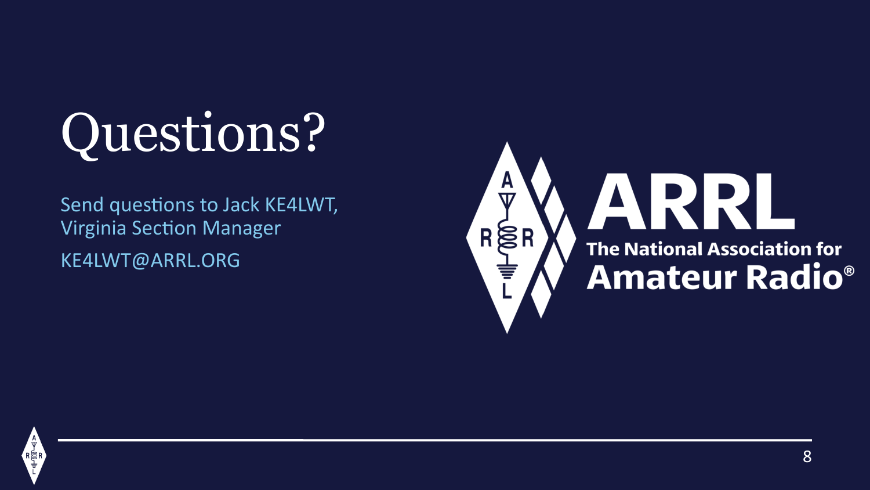# Questions?

Send questions to Jack KE4LWT, Virginia Section Manager KE4LWT@ARRL.ORG



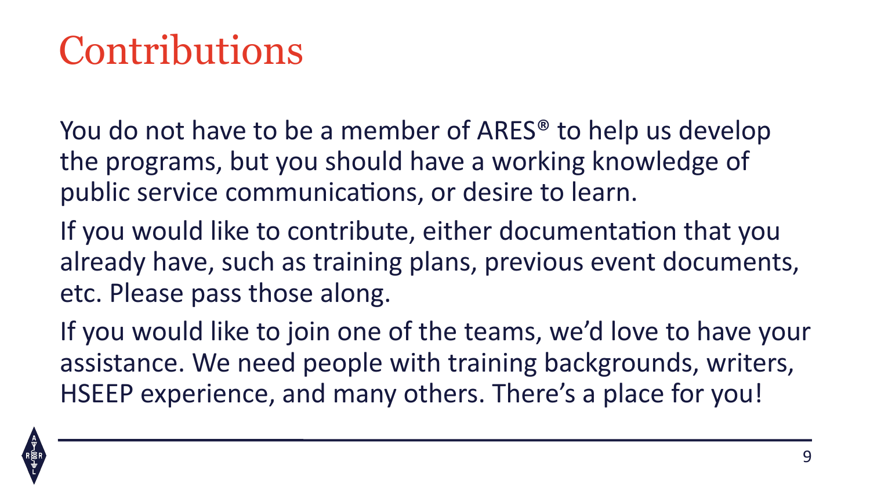## Contributions

You do not have to be a member of ARES® to help us develop the programs, but you should have a working knowledge of public service communications, or desire to learn.

If you would like to contribute, either documentation that you already have, such as training plans, previous event documents, etc. Please pass those along.

If you would like to join one of the teams, we'd love to have your assistance. We need people with training backgrounds, writers, HSEEP experience, and many others. There's a place for you!

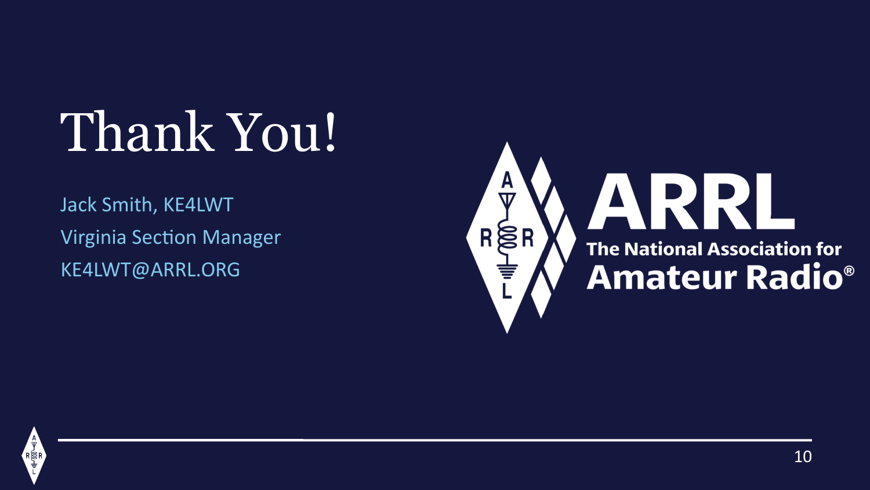# Thank You!

Jack Smith, KE4LWT Virginia Section Manager KE4LWT@ARRL.ORG